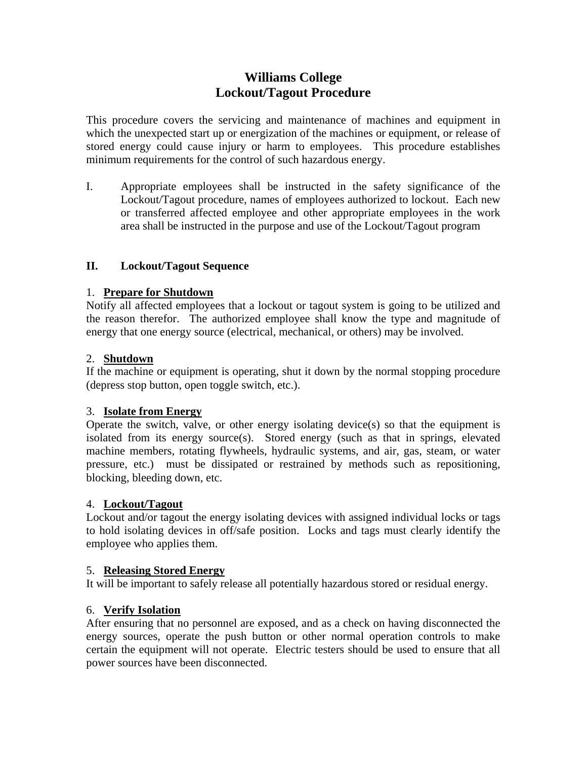# **Williams College Lockout/Tagout Procedure**

This procedure covers the servicing and maintenance of machines and equipment in which the unexpected start up or energization of the machines or equipment, or release of stored energy could cause injury or harm to employees. This procedure establishes minimum requirements for the control of such hazardous energy.

I. Appropriate employees shall be instructed in the safety significance of the Lockout/Tagout procedure, names of employees authorized to lockout. Each new or transferred affected employee and other appropriate employees in the work area shall be instructed in the purpose and use of the Lockout/Tagout program

# **II. Lockout/Tagout Sequence**

# 1. **Prepare for Shutdown**

Notify all affected employees that a lockout or tagout system is going to be utilized and the reason therefor. The authorized employee shall know the type and magnitude of energy that one energy source (electrical, mechanical, or others) may be involved.

# 2. **Shutdown**

If the machine or equipment is operating, shut it down by the normal stopping procedure (depress stop button, open toggle switch, etc.).

# 3. **Isolate from Energy**

Operate the switch, valve, or other energy isolating device(s) so that the equipment is isolated from its energy source(s). Stored energy (such as that in springs, elevated machine members, rotating flywheels, hydraulic systems, and air, gas, steam, or water pressure, etc.) must be dissipated or restrained by methods such as repositioning, blocking, bleeding down, etc.

# 4. **Lockout/Tagout**

Lockout and/or tagout the energy isolating devices with assigned individual locks or tags to hold isolating devices in off/safe position. Locks and tags must clearly identify the employee who applies them.

# 5. **Releasing Stored Energy**

It will be important to safely release all potentially hazardous stored or residual energy.

# 6. **Verify Isolation**

After ensuring that no personnel are exposed, and as a check on having disconnected the energy sources, operate the push button or other normal operation controls to make certain the equipment will not operate. Electric testers should be used to ensure that all power sources have been disconnected.